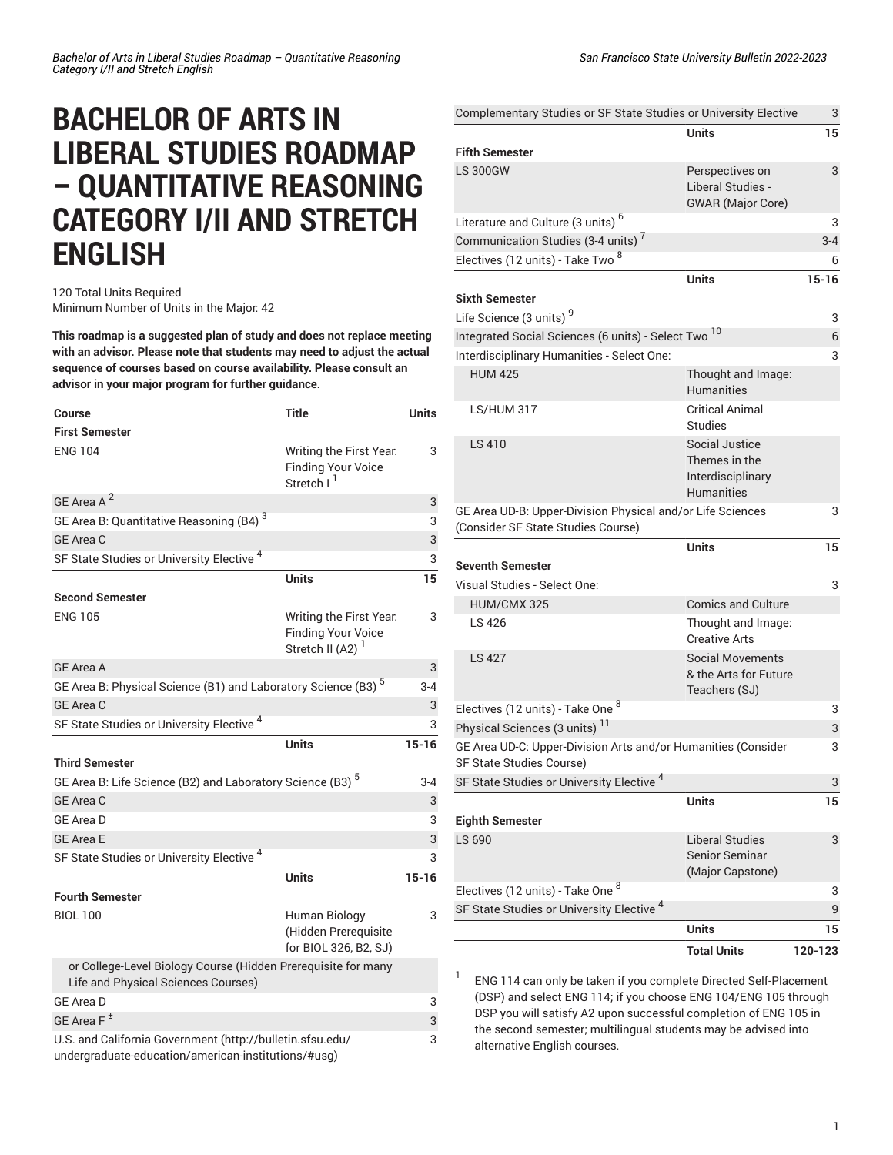# **BACHELOR OF ARTS IN LIBERAL STUDIES ROADMAP – QUANTITATIVE REASONING CATEGORY I/II AND STRETCH ENGLISH**

### 120 Total Units Required Minimum Number of Units in the Major: 42

**This roadmap is a suggested plan of study and does not replace meeting with an advisor. Please note that students may need to adjust the actual sequence of courses based on course availability. Please consult an advisor in your major program for further guidance.**

| <b>Course</b>                                                                                        | <b>Title</b>                                                                   | <b>Units</b> |
|------------------------------------------------------------------------------------------------------|--------------------------------------------------------------------------------|--------------|
| <b>First Semester</b>                                                                                |                                                                                |              |
| <b>ENG 104</b>                                                                                       | Writing the First Year.<br><b>Finding Your Voice</b><br>Stretch I <sup>1</sup> | 3            |
| GE Area A <sup>2</sup>                                                                               |                                                                                | 3            |
| GE Area B: Quantitative Reasoning (B4) <sup>3</sup>                                                  |                                                                                | 3            |
| <b>GE Area C</b>                                                                                     |                                                                                | 3            |
| SF State Studies or University Elective <sup>4</sup>                                                 |                                                                                | 3            |
|                                                                                                      | <b>Units</b>                                                                   | 15           |
| <b>Second Semester</b>                                                                               |                                                                                |              |
| <b>ENG 105</b>                                                                                       | Writing the First Year.<br><b>Finding Your Voice</b><br>Stretch II (A2)        | 3            |
| <b>GE Area A</b>                                                                                     |                                                                                | 3            |
| GE Area B: Physical Science (B1) and Laboratory Science (B3) <sup>5</sup>                            |                                                                                | $3 - 4$      |
| <b>GE Area C</b>                                                                                     |                                                                                | 3            |
| SF State Studies or University Elective <sup>4</sup>                                                 |                                                                                | 3            |
|                                                                                                      |                                                                                |              |
|                                                                                                      | <b>Units</b>                                                                   | $15 - 16$    |
| <b>Third Semester</b>                                                                                |                                                                                |              |
| GE Area B: Life Science (B2) and Laboratory Science (B3) <sup>5</sup>                                |                                                                                | $3 - 4$      |
| <b>GE Area C</b>                                                                                     |                                                                                | 3            |
| <b>GE Area D</b>                                                                                     |                                                                                | 3            |
| <b>GE Area E</b>                                                                                     |                                                                                | 3            |
| SF State Studies or University Elective <sup>4</sup>                                                 |                                                                                | 3            |
|                                                                                                      | <b>Units</b>                                                                   | $15 - 16$    |
| <b>Fourth Semester</b>                                                                               |                                                                                |              |
| <b>BIOL 100</b>                                                                                      | Human Biology<br>(Hidden Prerequisite<br>for BIOL 326, B2, SJ)                 | 3            |
| or College-Level Biology Course (Hidden Prerequisite for many<br>Life and Physical Sciences Courses) |                                                                                |              |
| <b>GE Area D</b>                                                                                     |                                                                                | 3            |
| GE Area $F^{\pm}$<br>U.S. and California Government (http://bulletin.sfsu.edu/                       |                                                                                | 3            |

[undergraduate-education/american-institutions/#usg](http://bulletin.sfsu.edu/undergraduate-education/american-institutions/#usg))

| Complementary Studies or SF State Studies or University Elective |                                            | 3         |
|------------------------------------------------------------------|--------------------------------------------|-----------|
|                                                                  | <b>Units</b>                               | 15        |
| <b>Fifth Semester</b>                                            |                                            |           |
| <b>LS 300GW</b>                                                  | Perspectives on                            | 3         |
|                                                                  | Liberal Studies -                          |           |
|                                                                  | <b>GWAR</b> (Major Core)                   |           |
| Literature and Culture (3 units) <sup>6</sup>                    |                                            | 3         |
| Communication Studies (3-4 units) <sup>7</sup>                   |                                            | $3 - 4$   |
| Electives (12 units) - Take Two 8                                |                                            | 6         |
|                                                                  | <b>Units</b>                               | $15 - 16$ |
| <b>Sixth Semester</b>                                            |                                            |           |
| Life Science (3 units) <sup>9</sup>                              |                                            | 3         |
| Integrated Social Sciences (6 units) - Select Two <sup>10</sup>  |                                            | 6         |
| Interdisciplinary Humanities - Select One:                       |                                            | 3         |
| <b>HUM 425</b>                                                   | Thought and Image:                         |           |
|                                                                  | <b>Humanities</b>                          |           |
| <b>LS/HUM 317</b>                                                | <b>Critical Animal</b>                     |           |
|                                                                  | <b>Studies</b>                             |           |
| <b>LS 410</b>                                                    | Social Justice                             |           |
|                                                                  | Themes in the                              |           |
|                                                                  | Interdisciplinary                          |           |
|                                                                  | <b>Humanities</b>                          |           |
| GE Area UD-B: Upper-Division Physical and/or Life Sciences       |                                            | 3         |
| (Consider SF State Studies Course)                               |                                            |           |
|                                                                  | <b>Units</b>                               | 15        |
| <b>Seventh Semester</b>                                          |                                            |           |
| Visual Studies - Select One:                                     |                                            | 3         |
| HUM/CMX 325                                                      | <b>Comics and Culture</b>                  |           |
| LS 426                                                           | Thought and Image:<br><b>Creative Arts</b> |           |
| <b>LS 427</b>                                                    | <b>Social Movements</b>                    |           |
|                                                                  | & the Arts for Future                      |           |
|                                                                  | Teachers (SJ)                              |           |
| Electives (12 units) - Take One 8                                |                                            | 3         |
| Physical Sciences (3 units) <sup>11</sup>                        |                                            | 3         |
| GE Area UD-C: Upper-Division Arts and/or Humanities (Consider    |                                            | 3         |
| SF State Studies Course)                                         |                                            |           |
| SF State Studies or University Elective <sup>4</sup>             |                                            | 3         |
|                                                                  | <b>Units</b>                               | 15        |
| <b>Eighth Semester</b>                                           |                                            |           |
| LS 690                                                           | Liberal Studies                            | 3         |
|                                                                  | Senior Seminar                             |           |
|                                                                  | (Major Capstone)                           |           |
| Electives (12 units) - Take One 8                                |                                            | 3         |
| SF State Studies or University Elective <sup>4</sup>             |                                            | 9         |
|                                                                  | <b>Units</b>                               | 15        |
|                                                                  | <b>Total Units</b>                         | 120-123   |

1 ENG 114 can only be taken if you complete Directed Self-Placement (DSP) and select ENG 114; if you choose ENG 104/ENG 105 through DSP you will satisfy A2 upon successful completion of ENG 105 in the second semester; multilingual students may be advised into alternative English courses.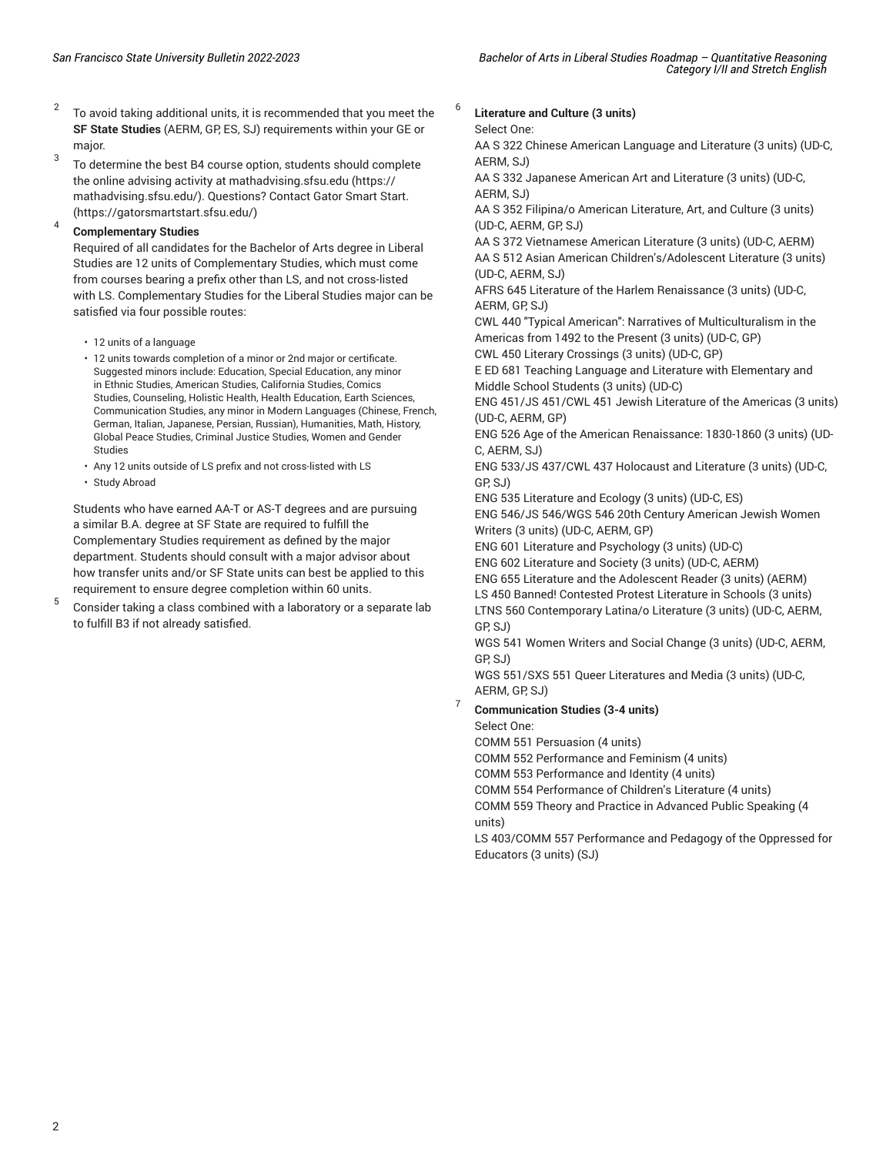- 2 To avoid taking additional units, it is recommended that you meet the **SF State Studies** (AERM, GP, ES, SJ) requirements within your GE or major.
- 3 To determine the best B4 course option, students should complete the online advising activity at [mathadvising.sfsu.edu](https://mathadvising.sfsu.edu/) ([https://](https://mathadvising.sfsu.edu/) [mathadvising.sfsu.edu/\)](https://mathadvising.sfsu.edu/). Questions? Contact Gator [Smart](https://gatorsmartstart.sfsu.edu/) Start. ([https://gatorsmartstart.sfsu.edu/\)](https://gatorsmartstart.sfsu.edu/)

#### 4 **Complementary Studies**

Required of all candidates for the Bachelor of Arts degree in Liberal Studies are 12 units of Complementary Studies, which must come from courses bearing a prefix other than LS, and not cross-listed with LS. Complementary Studies for the Liberal Studies major can be satisfied via four possible routes:

- 12 units of a language
- 12 units towards completion of a minor or 2nd major or certificate. Suggested minors include: Education, Special Education, any minor in Ethnic Studies, American Studies, California Studies, Comics Studies, Counseling, Holistic Health, Health Education, Earth Sciences, Communication Studies, any minor in Modern Languages (Chinese, French, German, Italian, Japanese, Persian, Russian), Humanities, Math, History, Global Peace Studies, Criminal Justice Studies, Women and Gender Studies
- Any 12 units outside of LS prefix and not cross-listed with LS
- Study Abroad

Students who have earned AA-T or AS-T degrees and are pursuing a similar B.A. degree at SF State are required to fulfill the Complementary Studies requirement as defined by the major department. Students should consult with a major advisor about how transfer units and/or SF State units can best be applied to this requirement to ensure degree completion within 60 units.

5 Consider taking a class combined with a laboratory or a separate lab to fulfill B3 if not already satisfied.

## **Literature and Culture (3 units)**

Select One:

6

AA S 322 Chinese American Language and Literature (3 units) (UD-C, AERM, SJ)

AA S 332 Japanese American Art and Literature (3 units) (UD-C, AERM, SJ)

AA S 352 Filipina/o American Literature, Art, and Culture (3 units) (UD-C, AERM, GP, SJ)

AA S 372 Vietnamese American Literature (3 units) (UD-C, AERM) AA S 512 Asian American Children's/Adolescent Literature (3 units) (UD-C, AERM, SJ)

AFRS 645 Literature of the Harlem Renaissance (3 units) (UD-C, AERM, GP, SJ)

CWL 440 "Typical American": Narratives of Multiculturalism in the Americas from 1492 to the Present (3 units) (UD-C, GP) CWL 450 Literary Crossings (3 units) (UD-C, GP)

E ED 681 Teaching Language and Literature with Elementary and Middle School Students (3 units) (UD-C)

ENG 451/JS 451/CWL 451 Jewish Literature of the Americas (3 units) (UD-C, AERM, GP)

ENG 526 Age of the American Renaissance: 1830-1860 (3 units) (UD-C, AERM, SJ)

ENG 533/JS 437/CWL 437 Holocaust and Literature (3 units) (UD-C, GP, SJ)

ENG 535 Literature and Ecology (3 units) (UD-C, ES)

ENG 546/JS 546/WGS 546 20th Century American Jewish Women Writers (3 units) (UD-C, AERM, GP)

ENG 601 Literature and Psychology (3 units) (UD-C)

ENG 602 Literature and Society (3 units) (UD-C, AERM)

ENG 655 Literature and the Adolescent Reader (3 units) (AERM) LS 450 Banned! Contested Protest Literature in Schools (3 units) LTNS 560 Contemporary Latina/o Literature (3 units) (UD-C, AERM, GP, SJ)

WGS 541 Women Writers and Social Change (3 units) (UD-C, AERM, GP, SJ)

WGS 551/SXS 551 Queer Literatures and Media (3 units) (UD-C, AERM, GP, SJ)

#### 7 **Communication Studies (3-4 units)**

Select One:

COMM 551 Persuasion (4 units)

COMM 552 Performance and Feminism (4 units)

COMM 553 Performance and Identity (4 units)

COMM 554 Performance of Children's Literature (4 units)

COMM 559 Theory and Practice in Advanced Public Speaking (4 units)

LS 403/COMM 557 Performance and Pedagogy of the Oppressed for Educators (3 units) (SJ)